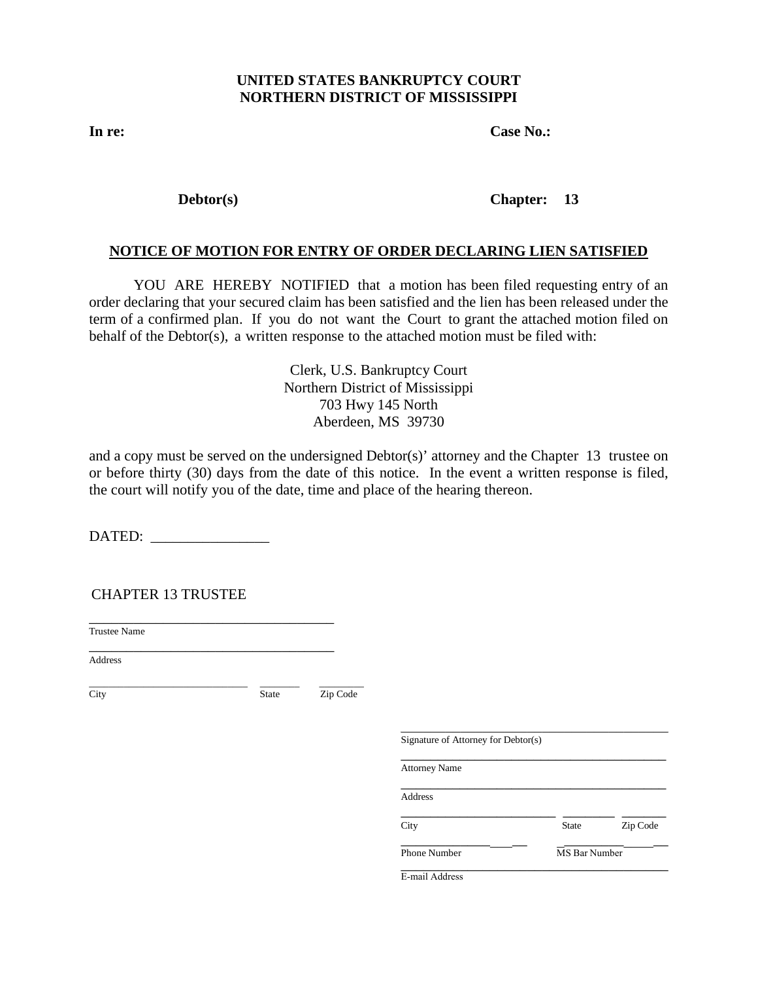#### **UNITED STATES BANKRUPTCY COURT NORTHERN DISTRICT OF MISSISSIPPI**

**In re: Case No.:** 

 $Debtor(s)$ 

## **Chapter: 13**

## **NOTICE OF MOTION FOR ENTRY OF ORDER DECLARING LIEN SATISFIED**

YOU ARE HEREBY NOTIFIED that a motion has been filed requesting entry of an order declaring that your secured claim has been satisfied and the lien has been released under the term of a confirmed plan. If you do not want the Court to grant the attached motion filed on behalf of the Debtor(s), a written response to the attached motion must be filed with:

> Clerk, U.S. Bankruptcy Court Northern District of Mississippi 703 Hwy 145 North Aberdeen, MS 39730

and a copy must be served on the undersigned  $Dektor(s)$ ' attorney and the Chapter 13 trustee on or before thirty (30) days from the date of this notice. In the event a written response is filed, the court will notify you of the date, time and place of the hearing thereon.

DATED: \_\_\_\_\_\_\_\_\_\_\_\_\_\_\_\_

CHAPTER 13 TRUSTEE

\_\_\_\_\_\_\_\_\_\_\_\_\_\_\_\_\_\_\_\_\_\_\_\_\_\_\_\_\_\_\_\_\_ Trustee Name

\_\_\_\_\_\_\_\_\_\_\_\_\_\_\_\_\_\_\_\_\_\_\_\_\_\_\_\_\_\_\_\_\_ Address

\_\_\_\_\_\_\_\_\_\_\_\_\_\_\_\_\_\_\_\_\_\_\_\_\_\_\_\_\_\_\_\_ \_\_\_\_\_\_\_\_ \_\_\_\_\_\_\_\_\_ City State Zip Code

| Signature of Attorney for Debtor(s) |              |               |  |
|-------------------------------------|--------------|---------------|--|
| <b>Attorney Name</b>                |              |               |  |
| Address                             |              |               |  |
| City                                | <b>State</b> | Zip Code      |  |
| <b>Phone Number</b>                 |              | MS Bar Number |  |
| E-mail Address                      |              |               |  |